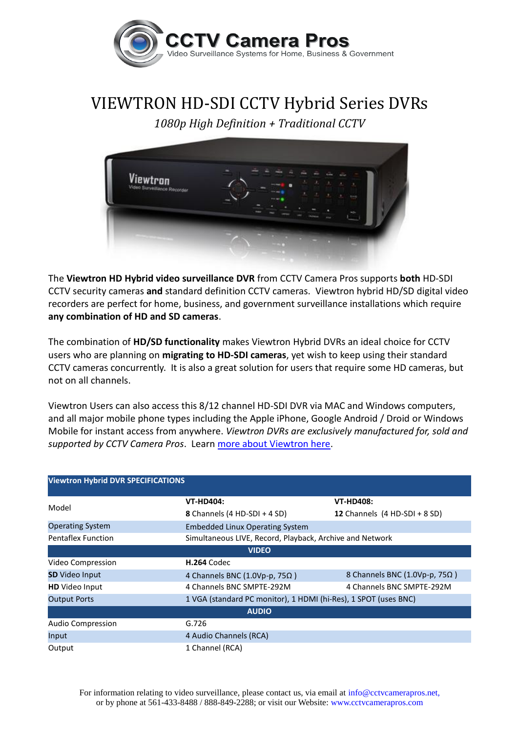

## VIEWTRON HD-SDI CCTV Hybrid Series DVRs

*1080p High Definition + Traditional CCTV*



The **Viewtron HD Hybrid video surveillance DVR** from CCTV Camera Pros supports **both** HD-SDI CCTV security cameras **and** standard definition CCTV cameras. Viewtron hybrid HD/SD digital video recorders are perfect for home, business, and government surveillance installations which require **any combination of HD and SD cameras**.

The combination of **HD/SD functionality** makes Viewtron Hybrid DVRs an ideal choice for CCTV users who are planning on **migrating to HD-SDI cameras**, yet wish to keep using their standard CCTV cameras concurrently. It is also a great solution for users that require some HD cameras, but not on all channels.

Viewtron Users can also access this 8/12 channel HD-SDI DVR via MAC and Windows computers, and all major mobile phone types including the Apple iPhone, Google Android / Droid or Windows Mobile for instant access from anywhere. *Viewtron DVRs are exclusively manufactured for, sold and supported by CCTV Camera Pros*. Learn [more about Viewtron here.](http://www.cctvcamerapros.com/Viewtron-Video-Surveillance-DVR-s/654.htm)

| <b>Viewtron Hybrid DVR SPECIFICATIONS</b> |                                                                 |                                 |  |
|-------------------------------------------|-----------------------------------------------------------------|---------------------------------|--|
| Model                                     | <b>VT-HD404:</b>                                                | <b>VT-HD408:</b>                |  |
|                                           | 8 Channels (4 HD-SDI + 4 SD)                                    | 12 Channels $(4 HD-SDI + 8 SD)$ |  |
| <b>Operating System</b>                   | <b>Embedded Linux Operating System</b>                          |                                 |  |
| <b>Pentaflex Function</b>                 | Simultaneous LIVE, Record, Playback, Archive and Network        |                                 |  |
| <b>VIDEO</b>                              |                                                                 |                                 |  |
| Video Compression                         | <b>H.264 Codec</b>                                              |                                 |  |
| <b>SD</b> Video Input                     | 4 Channels BNC (1.0Vp-p, $75\Omega$ )                           | 8 Channels BNC (1.0Vp-p, 75Ω)   |  |
| <b>HD</b> Video Input                     | 4 Channels BNC SMPTE-292M                                       | 4 Channels BNC SMPTE-292M       |  |
| <b>Output Ports</b>                       | 1 VGA (standard PC monitor), 1 HDMI (hi-Res), 1 SPOT (uses BNC) |                                 |  |
| <b>AUDIO</b>                              |                                                                 |                                 |  |
| Audio Compression                         | G.726                                                           |                                 |  |
| Input                                     | 4 Audio Channels (RCA)                                          |                                 |  |
| Output                                    | 1 Channel (RCA)                                                 |                                 |  |